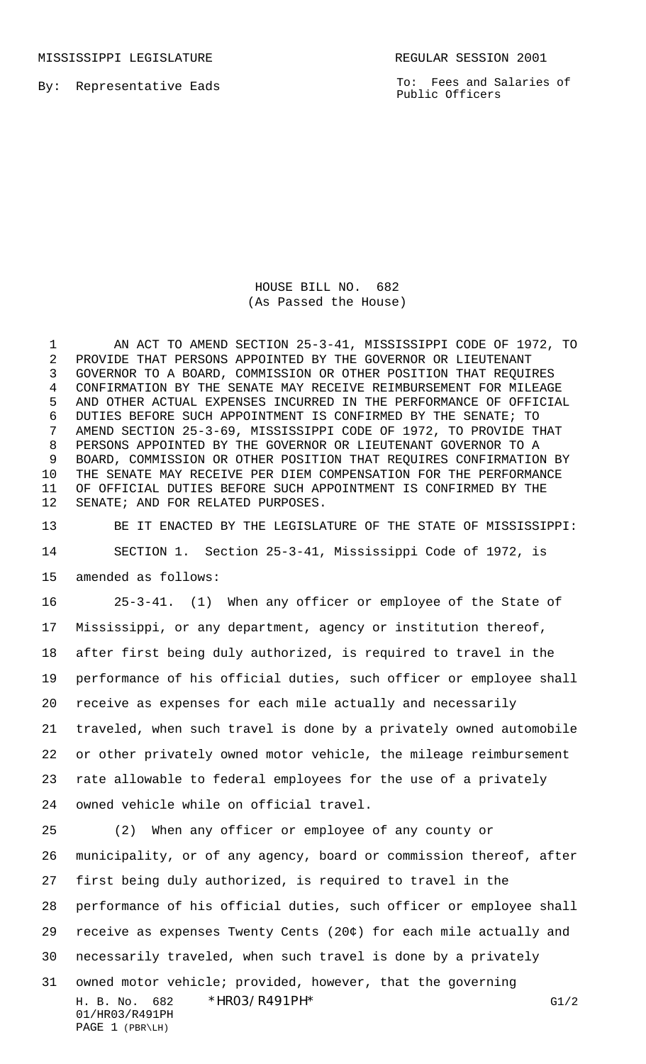MISSISSIPPI LEGISLATURE **REGULAR SESSION 2001** 

By: Representative Eads

To: Fees and Salaries of Public Officers

HOUSE BILL NO. 682 (As Passed the House)

 AN ACT TO AMEND SECTION 25-3-41, MISSISSIPPI CODE OF 1972, TO PROVIDE THAT PERSONS APPOINTED BY THE GOVERNOR OR LIEUTENANT GOVERNOR TO A BOARD, COMMISSION OR OTHER POSITION THAT REQUIRES CONFIRMATION BY THE SENATE MAY RECEIVE REIMBURSEMENT FOR MILEAGE AND OTHER ACTUAL EXPENSES INCURRED IN THE PERFORMANCE OF OFFICIAL DUTIES BEFORE SUCH APPOINTMENT IS CONFIRMED BY THE SENATE; TO AMEND SECTION 25-3-69, MISSISSIPPI CODE OF 1972, TO PROVIDE THAT PERSONS APPOINTED BY THE GOVERNOR OR LIEUTENANT GOVERNOR TO A BOARD, COMMISSION OR OTHER POSITION THAT REQUIRES CONFIRMATION BY THE SENATE MAY RECEIVE PER DIEM COMPENSATION FOR THE PERFORMANCE OF OFFICIAL DUTIES BEFORE SUCH APPOINTMENT IS CONFIRMED BY THE SENATE; AND FOR RELATED PURPOSES.

 BE IT ENACTED BY THE LEGISLATURE OF THE STATE OF MISSISSIPPI: SECTION 1. Section 25-3-41, Mississippi Code of 1972, is amended as follows:

 25-3-41. (1) When any officer or employee of the State of Mississippi, or any department, agency or institution thereof, after first being duly authorized, is required to travel in the performance of his official duties, such officer or employee shall receive as expenses for each mile actually and necessarily traveled, when such travel is done by a privately owned automobile or other privately owned motor vehicle, the mileage reimbursement rate allowable to federal employees for the use of a privately owned vehicle while on official travel.

H. B. No. 682 \*HR03/R491PH\* G1/2 01/HR03/R491PH PAGE 1 (PBR\LH) (2) When any officer or employee of any county or municipality, or of any agency, board or commission thereof, after first being duly authorized, is required to travel in the performance of his official duties, such officer or employee shall receive as expenses Twenty Cents (20¢) for each mile actually and necessarily traveled, when such travel is done by a privately owned motor vehicle; provided, however, that the governing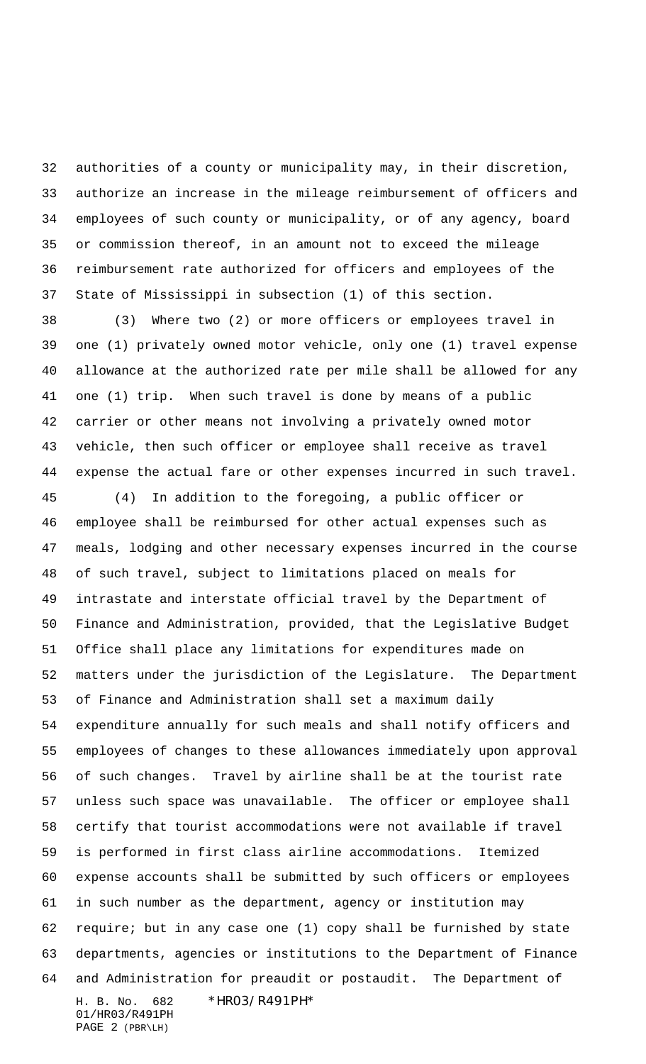authorities of a county or municipality may, in their discretion, authorize an increase in the mileage reimbursement of officers and employees of such county or municipality, or of any agency, board or commission thereof, in an amount not to exceed the mileage reimbursement rate authorized for officers and employees of the State of Mississippi in subsection (1) of this section.

 (3) Where two (2) or more officers or employees travel in one (1) privately owned motor vehicle, only one (1) travel expense allowance at the authorized rate per mile shall be allowed for any one (1) trip. When such travel is done by means of a public carrier or other means not involving a privately owned motor vehicle, then such officer or employee shall receive as travel expense the actual fare or other expenses incurred in such travel.

H. B. No. 682 \*HR03/R491PH\* (4) In addition to the foregoing, a public officer or employee shall be reimbursed for other actual expenses such as meals, lodging and other necessary expenses incurred in the course of such travel, subject to limitations placed on meals for intrastate and interstate official travel by the Department of Finance and Administration, provided, that the Legislative Budget Office shall place any limitations for expenditures made on matters under the jurisdiction of the Legislature. The Department of Finance and Administration shall set a maximum daily expenditure annually for such meals and shall notify officers and employees of changes to these allowances immediately upon approval of such changes. Travel by airline shall be at the tourist rate unless such space was unavailable. The officer or employee shall certify that tourist accommodations were not available if travel is performed in first class airline accommodations. Itemized expense accounts shall be submitted by such officers or employees in such number as the department, agency or institution may require; but in any case one (1) copy shall be furnished by state departments, agencies or institutions to the Department of Finance and Administration for preaudit or postaudit. The Department of

01/HR03/R491PH PAGE 2 (PBR\LH)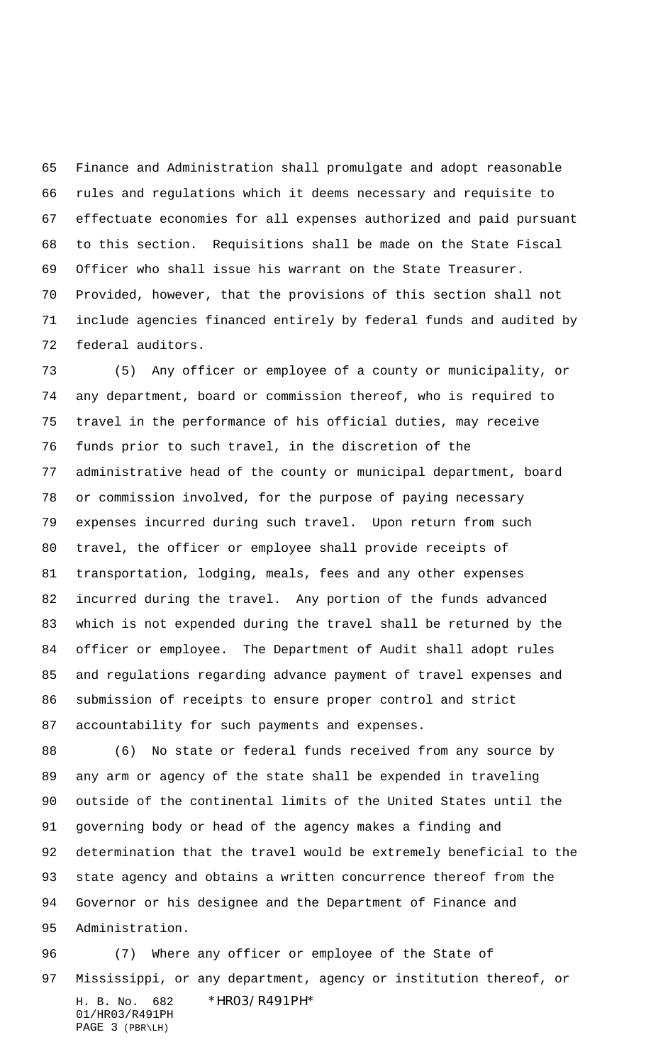Finance and Administration shall promulgate and adopt reasonable rules and regulations which it deems necessary and requisite to effectuate economies for all expenses authorized and paid pursuant to this section. Requisitions shall be made on the State Fiscal Officer who shall issue his warrant on the State Treasurer. Provided, however, that the provisions of this section shall not include agencies financed entirely by federal funds and audited by federal auditors.

 (5) Any officer or employee of a county or municipality, or any department, board or commission thereof, who is required to travel in the performance of his official duties, may receive funds prior to such travel, in the discretion of the administrative head of the county or municipal department, board or commission involved, for the purpose of paying necessary expenses incurred during such travel. Upon return from such travel, the officer or employee shall provide receipts of transportation, lodging, meals, fees and any other expenses incurred during the travel. Any portion of the funds advanced which is not expended during the travel shall be returned by the officer or employee. The Department of Audit shall adopt rules and regulations regarding advance payment of travel expenses and submission of receipts to ensure proper control and strict accountability for such payments and expenses.

 (6) No state or federal funds received from any source by any arm or agency of the state shall be expended in traveling outside of the continental limits of the United States until the governing body or head of the agency makes a finding and determination that the travel would be extremely beneficial to the state agency and obtains a written concurrence thereof from the Governor or his designee and the Department of Finance and Administration.

H. B. No. 682 \*HR03/R491PH\* 01/HR03/R491PH PAGE 3 (PBR\LH) (7) Where any officer or employee of the State of Mississippi, or any department, agency or institution thereof, or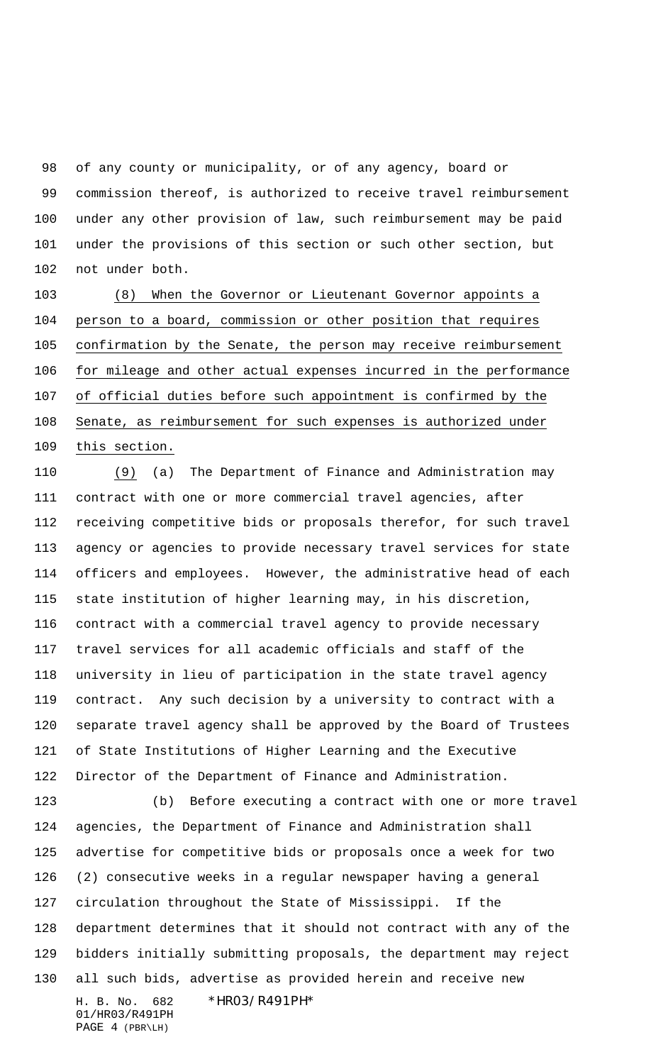of any county or municipality, or of any agency, board or commission thereof, is authorized to receive travel reimbursement under any other provision of law, such reimbursement may be paid under the provisions of this section or such other section, but not under both.

 (8) When the Governor or Lieutenant Governor appoints a person to a board, commission or other position that requires confirmation by the Senate, the person may receive reimbursement for mileage and other actual expenses incurred in the performance of official duties before such appointment is confirmed by the Senate, as reimbursement for such expenses is authorized under this section.

 (9) (a) The Department of Finance and Administration may contract with one or more commercial travel agencies, after receiving competitive bids or proposals therefor, for such travel agency or agencies to provide necessary travel services for state officers and employees. However, the administrative head of each state institution of higher learning may, in his discretion, contract with a commercial travel agency to provide necessary travel services for all academic officials and staff of the university in lieu of participation in the state travel agency contract. Any such decision by a university to contract with a separate travel agency shall be approved by the Board of Trustees of State Institutions of Higher Learning and the Executive Director of the Department of Finance and Administration.

H. B. No. 682 \*HR03/R491PH\* (b) Before executing a contract with one or more travel agencies, the Department of Finance and Administration shall advertise for competitive bids or proposals once a week for two (2) consecutive weeks in a regular newspaper having a general circulation throughout the State of Mississippi. If the department determines that it should not contract with any of the bidders initially submitting proposals, the department may reject all such bids, advertise as provided herein and receive new

01/HR03/R491PH PAGE 4 (PBR\LH)